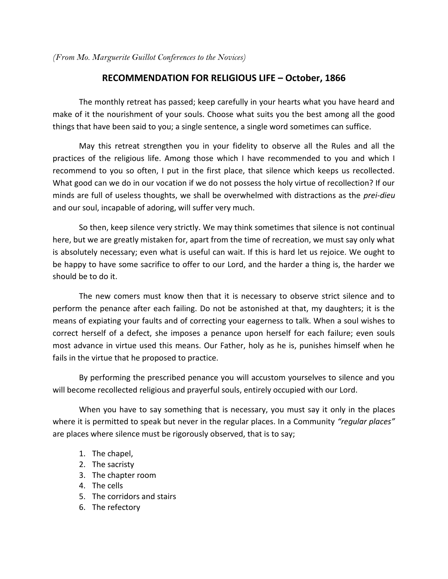*(From Mo. Marguerite Guillot Conferences to the Novices)* 

## **RECOMMENDATION FOR RELIGIOUS LIFE – October, 1866**

 The monthly retreat has passed; keep carefully in your hearts what you have heard and make of it the nourishment of your souls. Choose what suits you the best among all the good things that have been said to you; a single sentence, a single word sometimes can suffice.

 May this retreat strengthen you in your fidelity to observe all the Rules and all the practices of the religious life. Among those which I have recommended to you and which I recommend to you so often, I put in the first place, that silence which keeps us recollected. What good can we do in our vocation if we do not possess the holy virtue of recollection? If our minds are full of useless thoughts, we shall be overwhelmed with distractions as the *prei-dieu* and our soul, incapable of adoring, will suffer very much.

 So then, keep silence very strictly. We may think sometimes that silence is not continual here, but we are greatly mistaken for, apart from the time of recreation, we must say only what is absolutely necessary; even what is useful can wait. If this is hard let us rejoice. We ought to be happy to have some sacrifice to offer to our Lord, and the harder a thing is, the harder we should be to do it.

 The new comers must know then that it is necessary to observe strict silence and to perform the penance after each failing. Do not be astonished at that, my daughters; it is the means of expiating your faults and of correcting your eagerness to talk. When a soul wishes to correct herself of a defect, she imposes a penance upon herself for each failure; even souls most advance in virtue used this means. Our Father, holy as he is, punishes himself when he fails in the virtue that he proposed to practice.

 By performing the prescribed penance you will accustom yourselves to silence and you will become recollected religious and prayerful souls, entirely occupied with our Lord.

 When you have to say something that is necessary, you must say it only in the places where it is permitted to speak but never in the regular places. In a Community "regular places" are places where silence must be rigorously observed, that is to say;

- 1. The chapel,
- 2. The sacristy
- 3. The chapter room
- 4. The cells
- 5. The corridors and stairs
- 6. The refectory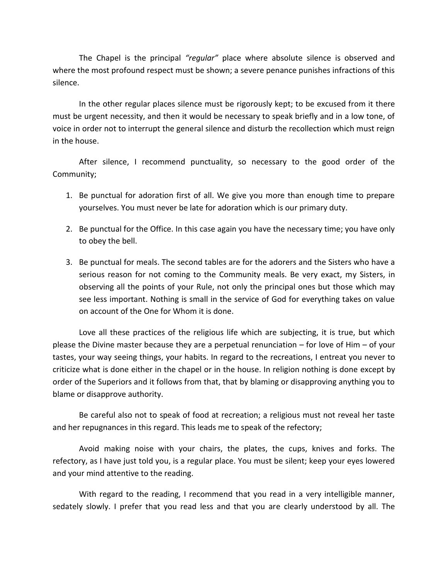The Chapel is the principal *"regular*" place where absolute silence is observed and where the most profound respect must be shown; a severe penance punishes infractions of this silence.

 In the other regular places silence must be rigorously kept; to be excused from it there must be urgent necessity, and then it would be necessary to speak briefly and in a low tone, of voice in order not to interrupt the general silence and disturb the recollection which must reign in the house.

 After silence, I recommend punctuality, so necessary to the good order of the Community;

- 1. Be punctual for adoration first of all. We give you more than enough time to prepare yourselves. You must never be late for adoration which is our primary duty.
- 2. Be punctual for the Office. In this case again you have the necessary time; you have only to obey the bell.
- 3. Be punctual for meals. The second tables are for the adorers and the Sisters who have a serious reason for not coming to the Community meals. Be very exact, my Sisters, in observing all the points of your Rule, not only the principal ones but those which may see less important. Nothing is small in the service of God for everything takes on value on account of the One for Whom it is done.

 Love all these practices of the religious life which are subjecting, it is true, but which please the Divine master because they are a perpetual renunciation – for love of Him – of your tastes, your way seeing things, your habits. In regard to the recreations, I entreat you never to criticize what is done either in the chapel or in the house. In religion nothing is done except by order of the Superiors and it follows from that, that by blaming or disapproving anything you to blame or disapprove authority.

 Be careful also not to speak of food at recreation; a religious must not reveal her taste and her repugnances in this regard. This leads me to speak of the refectory;

 Avoid making noise with your chairs, the plates, the cups, knives and forks. The refectory, as I have just told you, is a regular place. You must be silent; keep your eyes lowered and your mind attentive to the reading.

 With regard to the reading, I recommend that you read in a very intelligible manner, sedately slowly. I prefer that you read less and that you are clearly understood by all. The